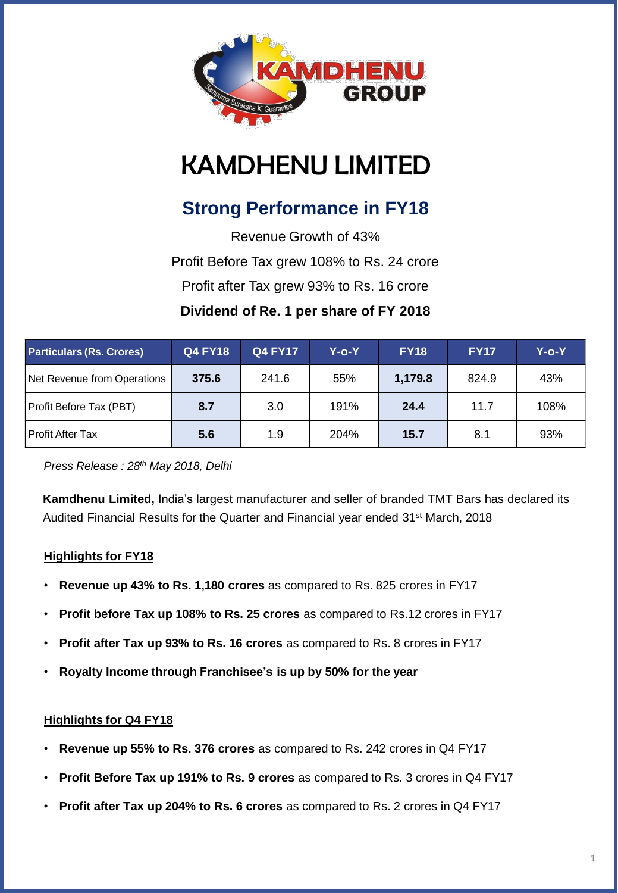

# KAMDHENU LIMITED

# **Strong Performance in FY18**

Revenue Growth of 43% Profit Before Tax grew 108% to Rs. 24 crore Profit after Tax grew 93% to Rs. 16 crore **Dividend of Re. 1 per share of FY 2018**

| <b>Particulars (Rs. Crores)</b> | <b>Q4 FY18</b> | <b>Q4 FY17</b> | Y-o-Y | <b>FY18</b> | <b>FY17</b> | Y-o-Y |
|---------------------------------|----------------|----------------|-------|-------------|-------------|-------|
| Net Revenue from Operations     | 375.6          | 241.6          | 55%   | 1,179.8     | 824.9       | 43%   |
| Profit Before Tax (PBT)         | 8.7            | 3.0            | 191%  | 24.4        | 11.7        | 108%  |
| <b>Profit After Tax</b>         | 5.6            | 1.9            | 204%  | 15.7        | 8.1         | 93%   |

*Press Release : 28th May 2018, Delhi*

**Kamdhenu Limited,** India's largest manufacturer and seller of branded TMT Bars has declared its Audited Financial Results for the Quarter and Financial year ended 31<sup>st</sup> March, 2018

### **Highlights for FY18**

- **Revenue up 43% to Rs. 1,180 crores** as compared to Rs. 825 crores in FY17
- **Profit before Tax up 108% to Rs. 25 crores** as compared to Rs.12 crores in FY17
- **Profit after Tax up 93% to Rs. 16 crores** as compared to Rs. 8 crores in FY17
- **Royalty Income through Franchisee's is up by 50% for the year**

#### **Highlights for Q4 FY18**

- **Revenue up 55% to Rs. 376 crores** as compared to Rs. 242 crores in Q4 FY17
- **Profit Before Tax up 191% to Rs. 9 crores** as compared to Rs. 3 crores in Q4 FY17
- **Profit after Tax up 204% to Rs. 6 crores** as compared to Rs. 2 crores in Q4 FY17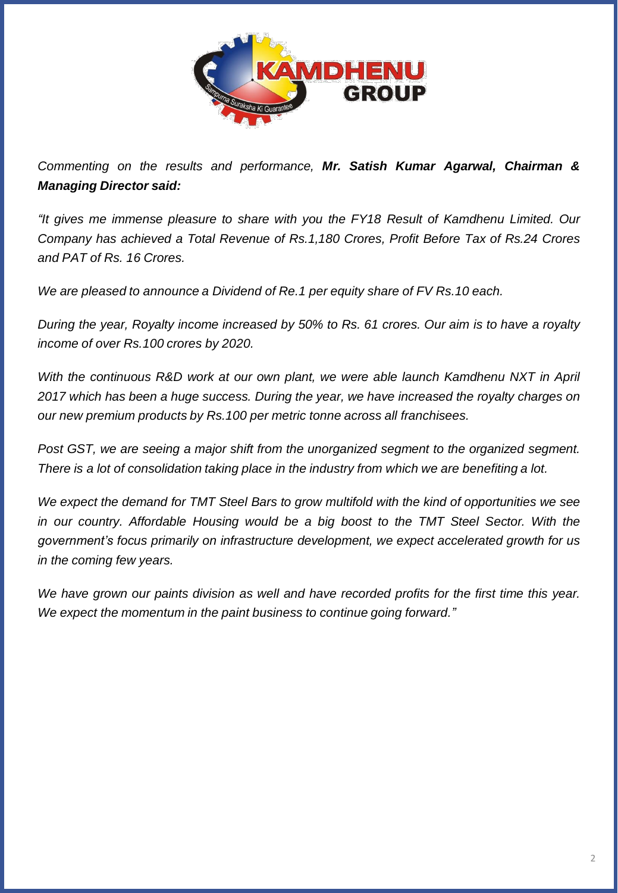

*Commenting on the results and performance, Mr. Satish Kumar Agarwal, Chairman & Managing Director said:*

*"It gives me immense pleasure to share with you the FY18 Result of Kamdhenu Limited. Our Company has achieved a Total Revenue of Rs.1,180 Crores, Profit Before Tax of Rs.24 Crores and PAT of Rs. 16 Crores.*

*We are pleased to announce a Dividend of Re.1 per equity share of FV Rs.10 each.*

During the year, Royalty income increased by 50% to Rs. 61 crores. Our aim is to have a royalty *income of over Rs.100 crores by 2020.*

*With the continuous R&D work at our own plant, we were able launch Kamdhenu NXT in April 2017 which has been a huge success. During the year, we have increased the royalty charges on our new premium products by Rs.100 per metric tonne across all franchisees.*

*Post GST, we are seeing a major shift from the unorganized segment to the organized segment. There is a lot of consolidation taking place in the industry from which we are benefiting a lot.*

*We expect the demand for TMT Steel Bars to grow multifold with the kind of opportunities we see in our country. Affordable Housing would be a big boost to the TMT Steel Sector. With the government's focus primarily on infrastructure development, we expect accelerated growth for us in the coming few years.*

*We have grown our paints division as well and have recorded profits for the first time this year. We expect the momentum in the paint business to continue going forward."*